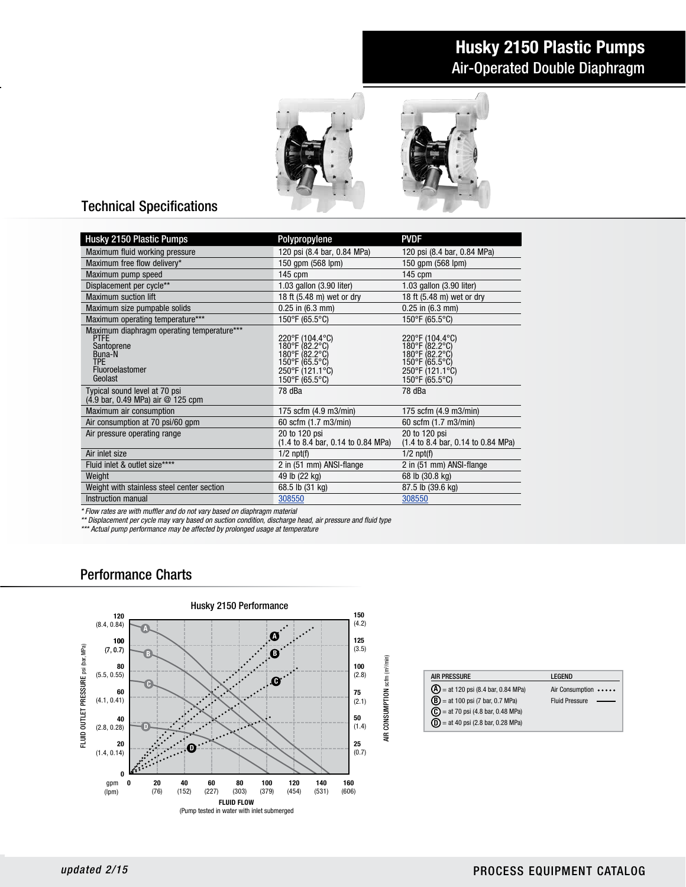# Husky 2150 Plastic Pumps Air-Operated Double Diaphragm



### Technical Specifications

| Husky 2150 Plastic Pumps                                                                                                                                                                                                                                                 | Polypropylene                                                                                              | <b>PVDF</b>                                                                                                |
|--------------------------------------------------------------------------------------------------------------------------------------------------------------------------------------------------------------------------------------------------------------------------|------------------------------------------------------------------------------------------------------------|------------------------------------------------------------------------------------------------------------|
| Maximum fluid working pressure                                                                                                                                                                                                                                           | 120 psi (8.4 bar, 0.84 MPa)                                                                                | 120 psi (8.4 bar, 0.84 MPa)                                                                                |
| Maximum free flow delivery*                                                                                                                                                                                                                                              | 150 qpm (568 lpm)                                                                                          | 150 qpm (568 lpm)                                                                                          |
| Maximum pump speed                                                                                                                                                                                                                                                       | 145 cpm                                                                                                    | 145 cpm                                                                                                    |
| Displacement per cycle**                                                                                                                                                                                                                                                 | 1.03 gallon (3.90 liter)                                                                                   | 1.03 gallon (3.90 liter)                                                                                   |
| <b>Maximum suction lift</b>                                                                                                                                                                                                                                              | 18 ft (5.48 m) wet or dry                                                                                  | 18 ft (5.48 m) wet or dry                                                                                  |
| Maximum size pumpable solids                                                                                                                                                                                                                                             | $0.25$ in $(6.3$ mm)                                                                                       | $0.25$ in $(6.3$ mm)                                                                                       |
| Maximum operating temperature***                                                                                                                                                                                                                                         | 150°F (65.5°C)                                                                                             | 150°F (65.5°C)                                                                                             |
| Maximum diaphragm operating temperature***<br><b>PTFE</b><br>Santoprene<br>Buna-N<br><b>TPF</b><br>Fluoroelastomer<br>Geolast                                                                                                                                            | 220°F (104.4°C)<br>180°F (82.2°C)<br>180°F (82.2°C)<br>150°F (65.5°C)<br>250°F (121.1°C)<br>150°F (65.5°C) | 220°F (104.4°C)<br>180°F (82.2°C)<br>180°F (82.2°C)<br>150°F (65.5°C)<br>250°F (121.1°C)<br>150°F (65.5°C) |
| Typical sound level at 70 psi<br>(4.9 bar, 0.49 MPa) air @ 125 cpm                                                                                                                                                                                                       | 78 dBa                                                                                                     | 78 dBa                                                                                                     |
| Maximum air consumption                                                                                                                                                                                                                                                  | 175 scfm (4.9 m3/min)                                                                                      | 175 scfm (4.9 m3/min)                                                                                      |
| Air consumption at 70 psi/60 gpm                                                                                                                                                                                                                                         | 60 scfm (1.7 m3/min)                                                                                       | 60 scfm (1.7 m3/min)                                                                                       |
| Air pressure operating range                                                                                                                                                                                                                                             | 20 to 120 psi<br>(1.4 to 8.4 bar, 0.14 to 0.84 MPa)                                                        | 20 to 120 psi<br>$(1.4 \text{ to } 8.4 \text{ bar}, 0.14 \text{ to } 0.84 \text{ MPa})$                    |
| Air inlet size                                                                                                                                                                                                                                                           | $1/2$ npt $(f)$                                                                                            | $1/2$ npt(f)                                                                                               |
| Fluid inlet & outlet size****                                                                                                                                                                                                                                            | 2 in (51 mm) ANSI-flange                                                                                   | 2 in (51 mm) ANSI-flange                                                                                   |
| Weight                                                                                                                                                                                                                                                                   | 49 lb (22 kg)                                                                                              | 68 lb (30.8 kg)                                                                                            |
| Weight with stainless steel center section                                                                                                                                                                                                                               | 68.5 lb (31 kg)                                                                                            | 87.5 lb (39.6 kg)                                                                                          |
| Instruction manual                                                                                                                                                                                                                                                       | 308550                                                                                                     | 308550                                                                                                     |
| * Flow rates are with muffler and do not vary based on diaphragm material<br>** Displacement per cycle may vary based on suction condition, discharge head, air pressure and fluid type<br>*** Actual pump performance may be affected by prolonged usage at temperature |                                                                                                            |                                                                                                            |
| <b>Performance Charts</b>                                                                                                                                                                                                                                                |                                                                                                            |                                                                                                            |

#### Performance Charts



| <b>AIR PRESSURE</b>                          | LEGEND                |
|----------------------------------------------|-----------------------|
| $\bf{A}$ = at 120 psi (8.4 bar, 0.84 MPa)    | Air Consumption       |
| $(B)$ = at 100 psi (7 bar, 0.7 MPa)          | <b>Fluid Pressure</b> |
| $\mathbf{C}$ = at 70 psi (4.8 bar, 0.48 MPa) |                       |
| $(D) = at 40$ psi (2.8 bar, 0.28 MPa)        |                       |